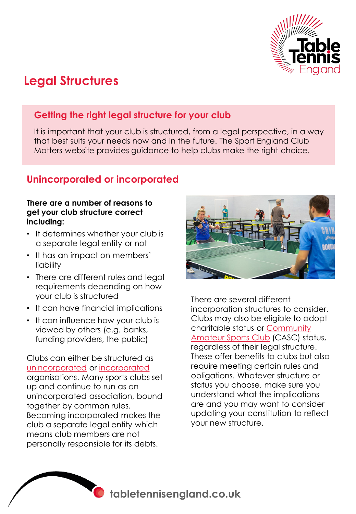

## **Legal Structures**

## **Getting the right legal structure for your club**

It is important that your club is structured, from a legal perspective, in a way that best suits your needs now and in the future. The Sport England Club Matters website provides guidance to help clubs make the right choice.

## **Unincorporated or incorporated**

## **There are a number of reasons to get your club structure correct including:**

- It determines whether your club is a separate legal entity or not
- It has an impact on members' liability
- There are different rules and legal requirements depending on how your club is structured
- It can have financial implications
- It can influence how your club is viewed by others (e.g. banks, funding providers, the public)

Clubs can either be structured as [unincorporated](https://www.sportenglandclubmatters.com/governance/getting-the-right-structure/unincorporated-organisations/) or [incorporated](https://www.sportenglandclubmatters.com/governance/getting-the-right-structure/incorporated-organisations/) organisations. Many sports clubs set up and continue to run as an unincorporated association, bound together by common rules. Becoming incorporated makes the club a separate legal entity which means club members are not personally responsible for its debts.



There are several different incorporation structures to consider. Clubs may also be eligible to adopt [charitable status or Community](https://www.sportenglandclubmatters.com/governance/getting-the-right-structure/casc-article/)  Amateur Sports Club (CASC) status, regardless of their legal structure. These offer benefits to clubs but also require meeting certain rules and obligations. Whatever structure or status you choose, make sure you understand what the implications are and you may want to consider updating your constitution to reflect your new structure.

**tabletennisengland.co.uk**